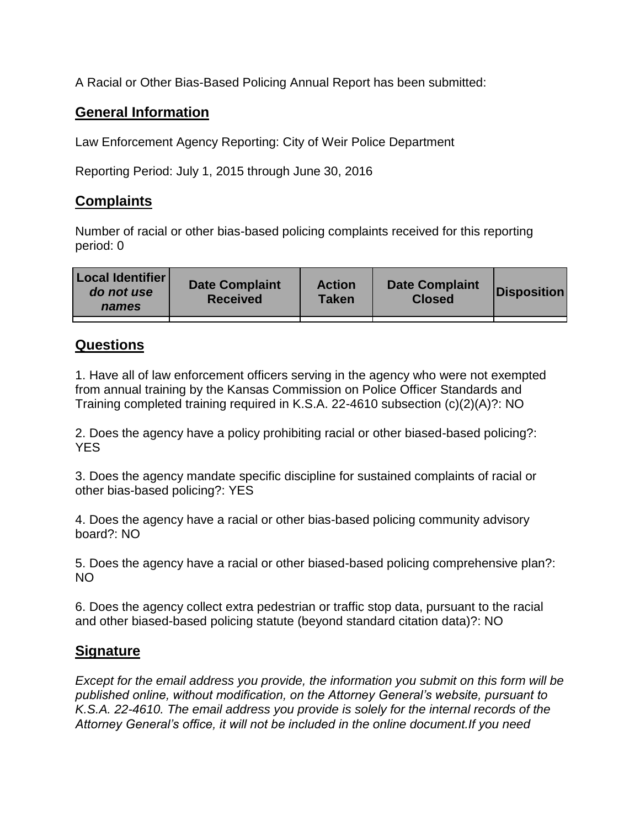A Racial or Other Bias-Based Policing Annual Report has been submitted:

## **General Information**

Law Enforcement Agency Reporting: City of Weir Police Department

Reporting Period: July 1, 2015 through June 30, 2016

## **Complaints**

Number of racial or other bias-based policing complaints received for this reporting period: 0

| <b>Local Identifier</b><br>do not use<br>names | <b>Date Complaint</b><br><b>Received</b> | <b>Action</b><br><b>Taken</b> | <b>Date Complaint</b><br><b>Closed</b> | Disposition |
|------------------------------------------------|------------------------------------------|-------------------------------|----------------------------------------|-------------|
|                                                |                                          |                               |                                        |             |

## **Questions**

1. Have all of law enforcement officers serving in the agency who were not exempted from annual training by the Kansas Commission on Police Officer Standards and Training completed training required in K.S.A. 22-4610 subsection (c)(2)(A)?: NO

2. Does the agency have a policy prohibiting racial or other biased-based policing?: YES

3. Does the agency mandate specific discipline for sustained complaints of racial or other bias-based policing?: YES

4. Does the agency have a racial or other bias-based policing community advisory board?: NO

5. Does the agency have a racial or other biased-based policing comprehensive plan?: NO

6. Does the agency collect extra pedestrian or traffic stop data, pursuant to the racial and other biased-based policing statute (beyond standard citation data)?: NO

## **Signature**

*Except for the email address you provide, the information you submit on this form will be published online, without modification, on the Attorney General's website, pursuant to K.S.A. 22-4610. The email address you provide is solely for the internal records of the Attorney General's office, it will not be included in the online document.If you need*